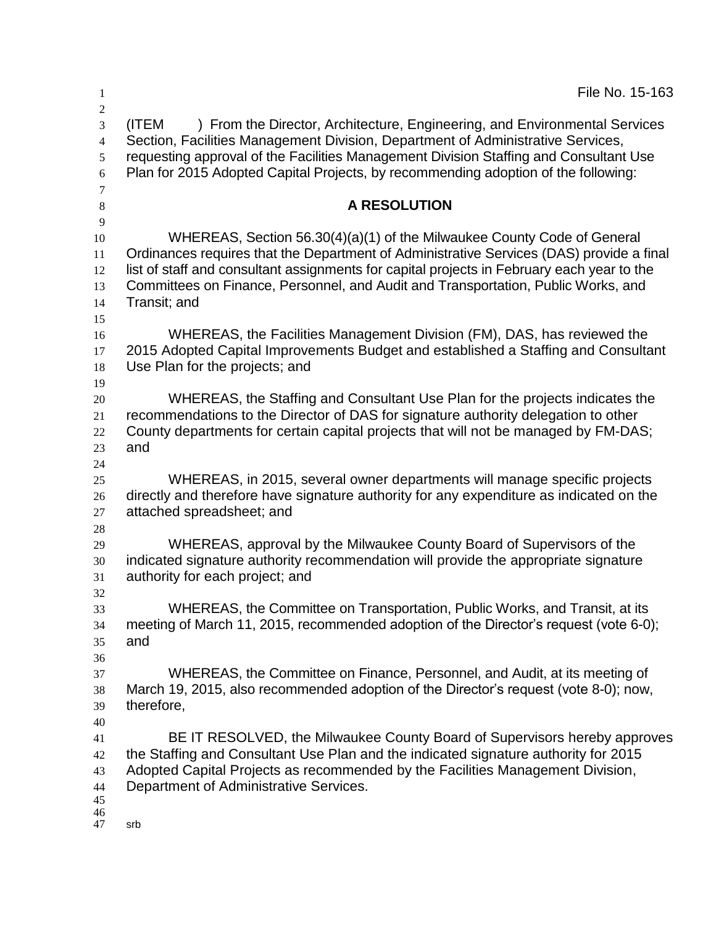| 1                                                           | File No. 15-163                                                                                                                                                                                                                                                                                                                                                        |
|-------------------------------------------------------------|------------------------------------------------------------------------------------------------------------------------------------------------------------------------------------------------------------------------------------------------------------------------------------------------------------------------------------------------------------------------|
| $\boldsymbol{2}$<br>3<br>$\overline{4}$<br>5<br>6<br>$\tau$ | ) From the Director, Architecture, Engineering, and Environmental Services<br>(ITEM<br>Section, Facilities Management Division, Department of Administrative Services,<br>requesting approval of the Facilities Management Division Staffing and Consultant Use<br>Plan for 2015 Adopted Capital Projects, by recommending adoption of the following:                  |
| $\,8\,$<br>$\overline{9}$                                   | <b>A RESOLUTION</b>                                                                                                                                                                                                                                                                                                                                                    |
| 10<br>11<br>12<br>13<br>14<br>15                            | WHEREAS, Section 56.30(4)(a)(1) of the Milwaukee County Code of General<br>Ordinances requires that the Department of Administrative Services (DAS) provide a final<br>list of staff and consultant assignments for capital projects in February each year to the<br>Committees on Finance, Personnel, and Audit and Transportation, Public Works, and<br>Transit; and |
| 16<br>17<br>18<br>19                                        | WHEREAS, the Facilities Management Division (FM), DAS, has reviewed the<br>2015 Adopted Capital Improvements Budget and established a Staffing and Consultant<br>Use Plan for the projects; and                                                                                                                                                                        |
| 20<br>21<br>22<br>23<br>24                                  | WHEREAS, the Staffing and Consultant Use Plan for the projects indicates the<br>recommendations to the Director of DAS for signature authority delegation to other<br>County departments for certain capital projects that will not be managed by FM-DAS;<br>and                                                                                                       |
| 25<br>26<br>27<br>28                                        | WHEREAS, in 2015, several owner departments will manage specific projects<br>directly and therefore have signature authority for any expenditure as indicated on the<br>attached spreadsheet; and                                                                                                                                                                      |
| 29<br>30<br>31                                              | WHEREAS, approval by the Milwaukee County Board of Supervisors of the<br>indicated signature authority recommendation will provide the appropriate signature<br>authority for each project; and                                                                                                                                                                        |
| 32<br>33<br>34<br>35<br>36                                  | WHEREAS, the Committee on Transportation, Public Works, and Transit, at its<br>meeting of March 11, 2015, recommended adoption of the Director's request (vote 6-0);<br>and                                                                                                                                                                                            |
| 37<br>38<br>39<br>40                                        | WHEREAS, the Committee on Finance, Personnel, and Audit, at its meeting of<br>March 19, 2015, also recommended adoption of the Director's request (vote 8-0); now,<br>therefore,                                                                                                                                                                                       |
| 41<br>42<br>43<br>44<br>45<br>46                            | BE IT RESOLVED, the Milwaukee County Board of Supervisors hereby approves<br>the Staffing and Consultant Use Plan and the indicated signature authority for 2015<br>Adopted Capital Projects as recommended by the Facilities Management Division,<br>Department of Administrative Services.                                                                           |
| 47                                                          | srb                                                                                                                                                                                                                                                                                                                                                                    |